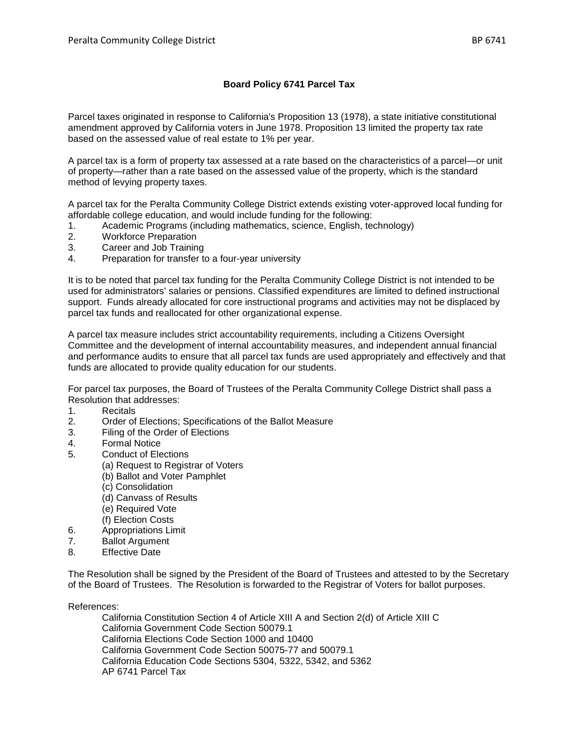## **Board Policy 6741 Parcel Tax**

Parcel taxes originated in response to California's Proposition 13 (1978), a state initiative constitutional amendment approved by California voters in June 1978. Proposition 13 limited the property tax rate based on the assessed value of real estate to 1% per year.

A parcel tax is a form of property tax assessed at a rate based on the characteristics of a parcel—or unit of property—rather than a rate based on the assessed value of the property, which is the standard method of levying property taxes.

A parcel tax for the Peralta Community College District extends existing voter-approved local funding for affordable college education, and would include funding for the following:

- 1. Academic Programs (including mathematics, science, English, technology)<br>2. Workforce Preparation
- Workforce Preparation
- 3. Career and Job Training
- 4. Preparation for transfer to a four-year university

It is to be noted that parcel tax funding for the Peralta Community College District is not intended to be used for administrators' salaries or pensions. Classified expenditures are limited to defined instructional support. Funds already allocated for core instructional programs and activities may not be displaced by parcel tax funds and reallocated for other organizational expense.

A parcel tax measure includes strict accountability requirements, including a Citizens Oversight Committee and the development of internal accountability measures, and independent annual financial and performance audits to ensure that all parcel tax funds are used appropriately and effectively and that funds are allocated to provide quality education for our students.

For parcel tax purposes, the Board of Trustees of the Peralta Community College District shall pass a Resolution that addresses:

- 1. Recitals
- 2. Order of Elections; Specifications of the Ballot Measure<br>3. Filing of the Order of Elections
- Filing of the Order of Elections
- 4. Formal Notice
- 5. Conduct of Elections
	- (a) Request to Registrar of Voters
	- (b) Ballot and Voter Pamphlet
	- (c) Consolidation
	- (d) Canvass of Results
	- (e) Required Vote
	- (f) Election Costs
- 6. Appropriations Limit
- 7. Ballot Argument
- 8. Effective Date

The Resolution shall be signed by the President of the Board of Trustees and attested to by the Secretary of the Board of Trustees. The Resolution is forwarded to the Registrar of Voters for ballot purposes.

References:

California Constitution Section 4 of Article XIII A and Section 2(d) of Article XIII C California Government Code Section 50079.1 California Elections Code Section 1000 and 10400 California Government Code Section 50075-77 and 50079.1 California Education Code Sections 5304, 5322, 5342, and 5362 AP 6741 Parcel Tax